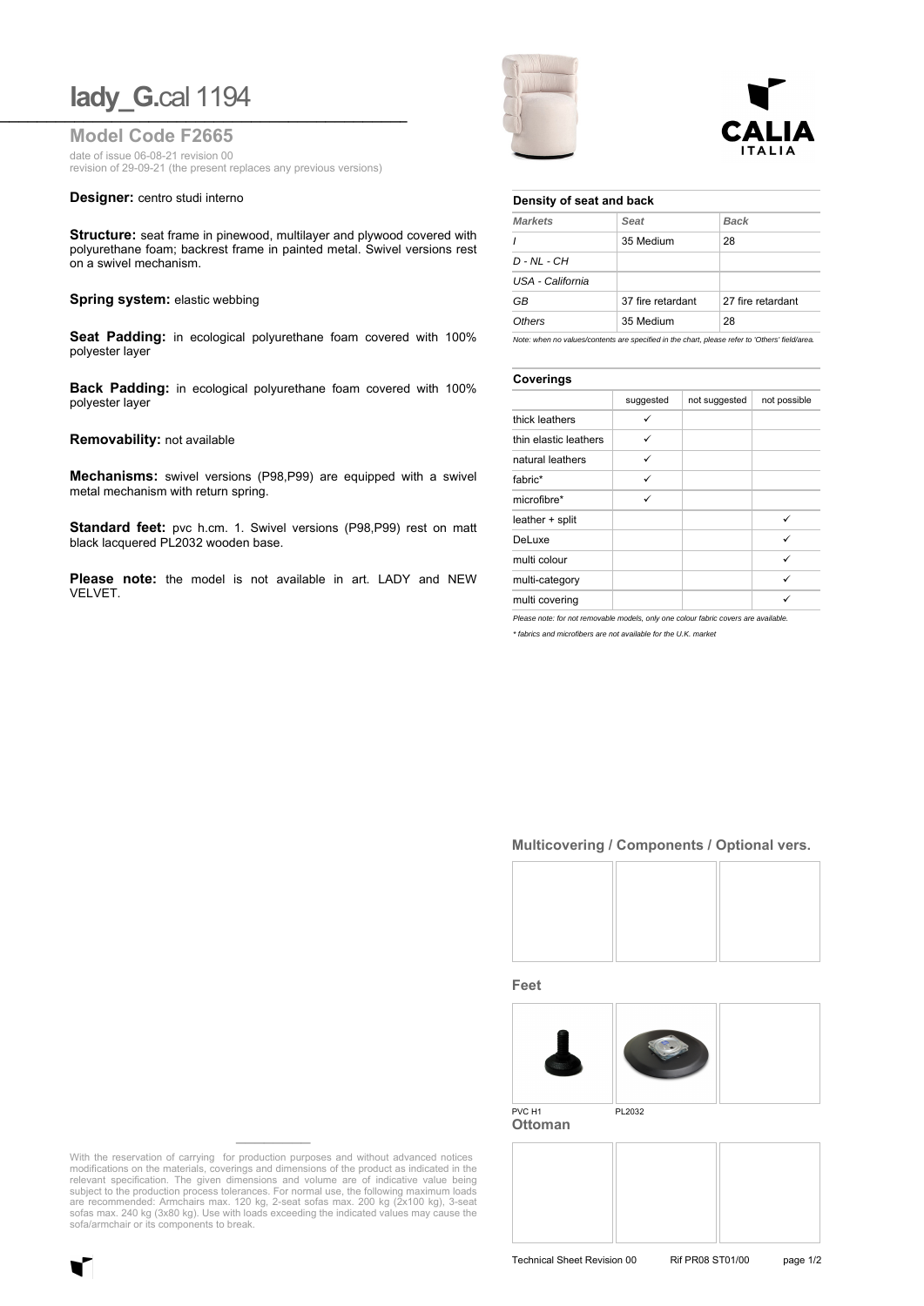# **lady\_G.cal** 1194

**Model Code F2665**

date of issue 06-08-21 revision 00 revision of 29-09-21 (the present replaces any previous versions)

#### **Designer:** centro studi interno

**Structure:** seat frame in pinewood, multilayer and plywood covered with polyurethane foam; backrest frame in painted metal. Swivel versions rest on a swivel mechanism.

### **Spring system: elastic webbing**

**Seat Padding:** in ecological polyurethane foam covered with 100% polyester layer

**Back Padding:** in ecological polyurethane foam covered with 100% polyester layer

#### **Removability:** not available

**Mechanisms:** swivel versions (P98,P99) are equipped with a swivel metal mechanism with return spring.

Standard feet: pvc h.cm. 1. Swivel versions (P98,P99) rest on matt black lacquered PL2032 wooden base.

**Please note:** the model is not available in art. LADY and NEW VELVET.



## **Density of seat and back**

| <b>Markets</b>   | Seat              | <b>Back</b>       |
|------------------|-------------------|-------------------|
|                  | 35 Medium         | 28                |
| $D - NL - CH$    |                   |                   |
| USA - California |                   |                   |
| GB               | 37 fire retardant | 27 fire retardant |
| Others           | 35 Medium         | 28                |

*Note: when no values/contents are specified in the chart, please refer to 'Others' field/area.*

| Coverings             |           |               |              |  |
|-----------------------|-----------|---------------|--------------|--|
|                       | suggested | not suggested | not possible |  |
| thick leathers        |           |               |              |  |
| thin elastic leathers | ✓         |               |              |  |
| natural leathers      | ✓         |               |              |  |
| fabric*               | ✓         |               |              |  |
| microfibre*           | ✓         |               |              |  |
| leather + split       |           |               | ✓            |  |
| DeLuxe                |           |               | ✓            |  |
| multi colour          |           |               | ✓            |  |
| multi-category        |           |               | ✓            |  |
| multi covering        |           |               |              |  |

*Please note: for not removable models, only one colour fabric covers are available.*

*\* fabrics and microfibers are not available for the U.K. market*

# **Multicovering / Components / Optional vers.**



#### **Feet**



**Ottoman**



With the reservation of carrying for production purposes and without advanced notices modifications on the materials, coverings and dimensions of the product as indicated in the relevant specification. The given dimensions and volume are of indicative value being subject to the production process tolerances. For normal use, the following maximum loads are recommended: Armchairs max. 120 kg, 2-seat sofas max. 200 kg (2x100 kg), 3-seat sofas max. 240 kg (3x80 kg). Use with loads exceeding the indicated values may cause the sofa/armchair or its components to break.